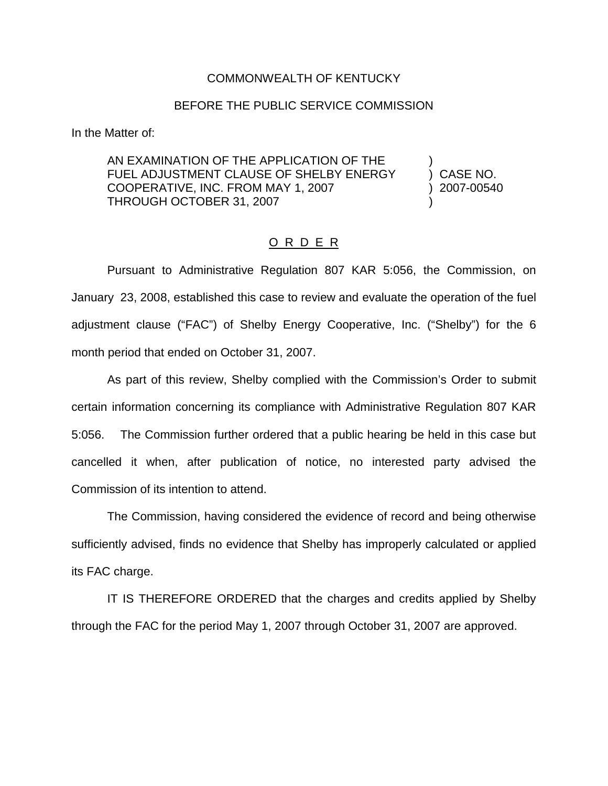## COMMONWEALTH OF KENTUCKY

## BEFORE THE PUBLIC SERVICE COMMISSION

In the Matter of:

AN EXAMINATION OF THE APPLICATION OF THE FUEL ADJUSTMENT CLAUSE OF SHELBY ENERGY (CASE NO. COOPERATIVE, INC. FROM MAY 1, 2007 ) 2007-00540 THROUGH OCTOBER 31, 2007

## O R D E R

Pursuant to Administrative Regulation 807 KAR 5:056, the Commission, on January 23, 2008, established this case to review and evaluate the operation of the fuel adjustment clause ("FAC") of Shelby Energy Cooperative, Inc. ("Shelby") for the 6 month period that ended on October 31, 2007.

As part of this review, Shelby complied with the Commission's Order to submit certain information concerning its compliance with Administrative Regulation 807 KAR 5:056. The Commission further ordered that a public hearing be held in this case but cancelled it when, after publication of notice, no interested party advised the Commission of its intention to attend.

The Commission, having considered the evidence of record and being otherwise sufficiently advised, finds no evidence that Shelby has improperly calculated or applied its FAC charge.

IT IS THEREFORE ORDERED that the charges and credits applied by Shelby through the FAC for the period May 1, 2007 through October 31, 2007 are approved.